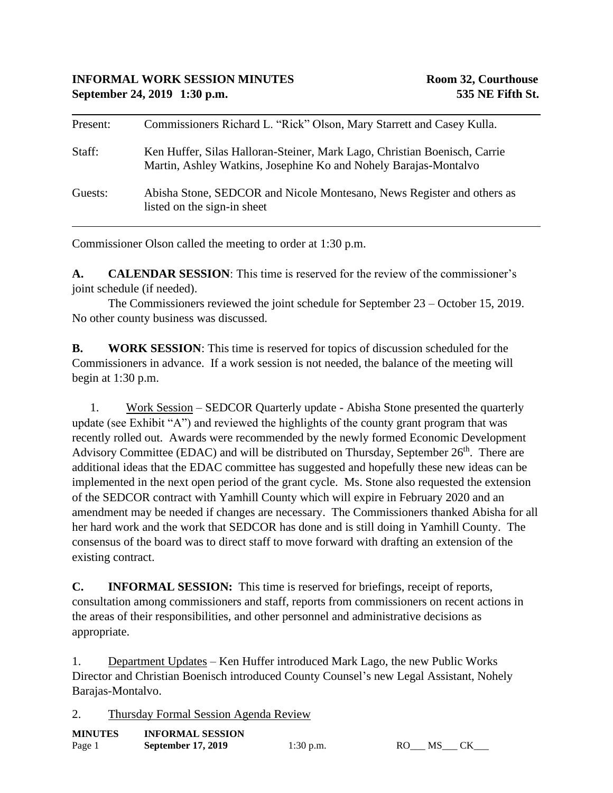| Present: | Commissioners Richard L. "Rick" Olson, Mary Starrett and Casey Kulla.                                                                         |
|----------|-----------------------------------------------------------------------------------------------------------------------------------------------|
| Staff:   | Ken Huffer, Silas Halloran-Steiner, Mark Lago, Christian Boenisch, Carrie<br>Martin, Ashley Watkins, Josephine Ko and Nohely Barajas-Montalvo |
| Guests:  | Abisha Stone, SEDCOR and Nicole Montesano, News Register and others as<br>listed on the sign-in sheet                                         |

Commissioner Olson called the meeting to order at 1:30 p.m.

**A. CALENDAR SESSION**: This time is reserved for the review of the commissioner's joint schedule (if needed).

The Commissioners reviewed the joint schedule for September 23 – October 15, 2019. No other county business was discussed.

**B. WORK SESSION**: This time is reserved for topics of discussion scheduled for the Commissioners in advance. If a work session is not needed, the balance of the meeting will begin at 1:30 p.m.

1. Work Session – SEDCOR Quarterly update - Abisha Stone presented the quarterly update (see Exhibit "A") and reviewed the highlights of the county grant program that was recently rolled out. Awards were recommended by the newly formed Economic Development Advisory Committee (EDAC) and will be distributed on Thursday, September  $26<sup>th</sup>$ . There are additional ideas that the EDAC committee has suggested and hopefully these new ideas can be implemented in the next open period of the grant cycle. Ms. Stone also requested the extension of the SEDCOR contract with Yamhill County which will expire in February 2020 and an amendment may be needed if changes are necessary. The Commissioners thanked Abisha for all her hard work and the work that SEDCOR has done and is still doing in Yamhill County. The consensus of the board was to direct staff to move forward with drafting an extension of the existing contract.

**C. INFORMAL SESSION:** This time is reserved for briefings, receipt of reports, consultation among commissioners and staff, reports from commissioners on recent actions in the areas of their responsibilities, and other personnel and administrative decisions as appropriate.

1. Department Updates – Ken Huffer introduced Mark Lago, the new Public Works Director and Christian Boenisch introduced County Counsel's new Legal Assistant, Nohely Barajas-Montalvo.

2. Thursday Formal Session Agenda Review